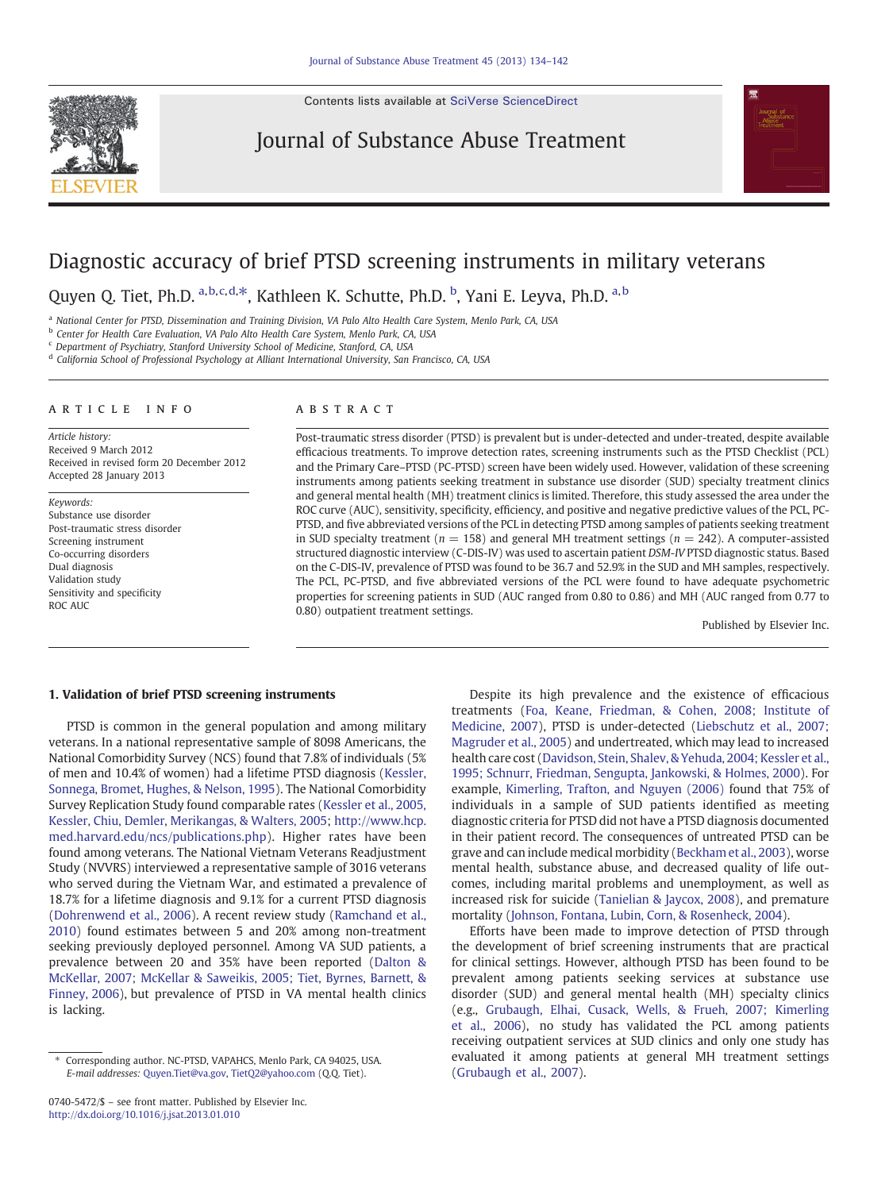Contents lists available at [SciVerse ScienceDirect](http://www.sciencedirect.com/science/journal/07405472)



Journal of Substance Abuse Treatment



## Diagnostic accuracy of brief PTSD screening instruments in military veterans

Quyen Q. Tiet, Ph.D. <sup>a,b,c,d,\*</sup>, Kathleen K. Schutte, Ph.D. <sup>b</sup>, Yani E. Leyva, Ph.D. <sup>a,b</sup>

a National Center for PTSD, Dissemination and Training Division, VA Palo Alto Health Care System, Menlo Park, CA, USA

b Center for Health Care Evaluation, VA Palo Alto Health Care System, Menlo Park, CA, USA

 $c$  Department of Psychiatry, Stanford University School of Medicine, Stanford, CA, USA

<sup>d</sup> California School of Professional Psychology at Alliant International University, San Francisco, CA, USA

## article info abstract

Article history: Received 9 March 2012 Received in revised form 20 December 2012 Accepted 28 January 2013

Keywords: Substance use disorder Post-traumatic stress disorder Screening instrument Co-occurring disorders Dual diagnosis Validation study Sensitivity and specificity ROC AUC

Post-traumatic stress disorder (PTSD) is prevalent but is under-detected and under-treated, despite available efficacious treatments. To improve detection rates, screening instruments such as the PTSD Checklist (PCL) and the Primary Care–PTSD (PC-PTSD) screen have been widely used. However, validation of these screening instruments among patients seeking treatment in substance use disorder (SUD) specialty treatment clinics and general mental health (MH) treatment clinics is limited. Therefore, this study assessed the area under the ROC curve (AUC), sensitivity, specificity, efficiency, and positive and negative predictive values of the PCL, PC-PTSD, and five abbreviated versions of the PCL in detecting PTSD among samples of patients seeking treatment in SUD specialty treatment ( $n = 158$ ) and general MH treatment settings ( $n = 242$ ). A computer-assisted structured diagnostic interview (C-DIS-IV) was used to ascertain patient DSM-IV PTSD diagnostic status. Based on the C-DIS-IV, prevalence of PTSD was found to be 36.7 and 52.9% in the SUD and MH samples, respectively. The PCL, PC-PTSD, and five abbreviated versions of the PCL were found to have adequate psychometric properties for screening patients in SUD (AUC ranged from 0.80 to 0.86) and MH (AUC ranged from 0.77 to 0.80) outpatient treatment settings.

Published by Elsevier Inc.

### 1. Validation of brief PTSD screening instruments

PTSD is common in the general population and among military veterans. In a national representative sample of 8098 Americans, the National Comorbidity Survey (NCS) found that 7.8% of individuals (5% of men and 10.4% of women) had a lifetime PTSD diagnosis ([Kessler,](#page--1-0) [Sonnega, Bromet, Hughes, & Nelson, 1995](#page--1-0)). The National Comorbidity Survey Replication Study found comparable rates ([Kessler et al., 2005,](#page--1-0) [Kessler, Chiu, Demler, Merikangas, & Walters, 2005;](#page--1-0) [http://www.hcp.](http://www.hcp.med.harvard.edu/ncs/publications.php) [med.harvard.edu/ncs/publications.php](http://www.hcp.med.harvard.edu/ncs/publications.php)). Higher rates have been found among veterans. The National Vietnam Veterans Readjustment Study (NVVRS) interviewed a representative sample of 3016 veterans who served during the Vietnam War, and estimated a prevalence of 18.7% for a lifetime diagnosis and 9.1% for a current PTSD diagnosis ([Dohrenwend et al., 2006\)](#page--1-0). A recent review study ([Ramchand et al.,](#page--1-0) [2010\)](#page--1-0) found estimates between 5 and 20% among non-treatment seeking previously deployed personnel. Among VA SUD patients, a prevalence between 20 and 35% have been reported ([Dalton &](#page--1-0) [McKellar, 2007; McKellar & Saweikis, 2005; Tiet, Byrnes, Barnett, &](#page--1-0) [Finney, 2006](#page--1-0)), but prevalence of PTSD in VA mental health clinics is lacking.

Despite its high prevalence and the existence of efficacious treatments ([Foa, Keane, Friedman, & Cohen, 2008; Institute of](#page--1-0) [Medicine, 2007\)](#page--1-0), PTSD is under-detected [\(Liebschutz et al., 2007;](#page--1-0) [Magruder et al., 2005\)](#page--1-0) and undertreated, which may lead to increased health care cost ([Davidson, Stein, Shalev, & Yehuda, 2004; Kessler et al.,](#page--1-0) [1995; Schnurr, Friedman, Sengupta, Jankowski, & Holmes, 2000](#page--1-0)). For example, [Kimerling, Trafton, and Nguyen \(2006\)](#page--1-0) found that 75% of individuals in a sample of SUD patients identified as meeting diagnostic criteria for PTSD did not have a PTSD diagnosis documented in their patient record. The consequences of untreated PTSD can be grave and can include medical morbidity [\(Beckham et al., 2003\)](#page--1-0), worse mental health, substance abuse, and decreased quality of life outcomes, including marital problems and unemployment, as well as increased risk for suicide ([Tanielian & Jaycox, 2008\)](#page--1-0), and premature mortality ([Johnson, Fontana, Lubin, Corn, & Rosenheck, 2004](#page--1-0)).

Efforts have been made to improve detection of PTSD through the development of brief screening instruments that are practical for clinical settings. However, although PTSD has been found to be prevalent among patients seeking services at substance use disorder (SUD) and general mental health (MH) specialty clinics (e.g., [Grubaugh, Elhai, Cusack, Wells, & Frueh, 2007; Kimerling](#page--1-0) [et al., 2006\)](#page--1-0), no study has validated the PCL among patients receiving outpatient services at SUD clinics and only one study has evaluated it among patients at general MH treatment settings ([Grubaugh et al., 2007\)](#page--1-0).

<sup>⁎</sup> Corresponding author. NC-PTSD, VAPAHCS, Menlo Park, CA 94025, USA. E-mail addresses: [Quyen.Tiet@va.gov](mailto:Quyen.Tiet@va.gov), [TietQ2@yahoo.com](mailto:TietQ2@yahoo.com) (Q.Q. Tiet).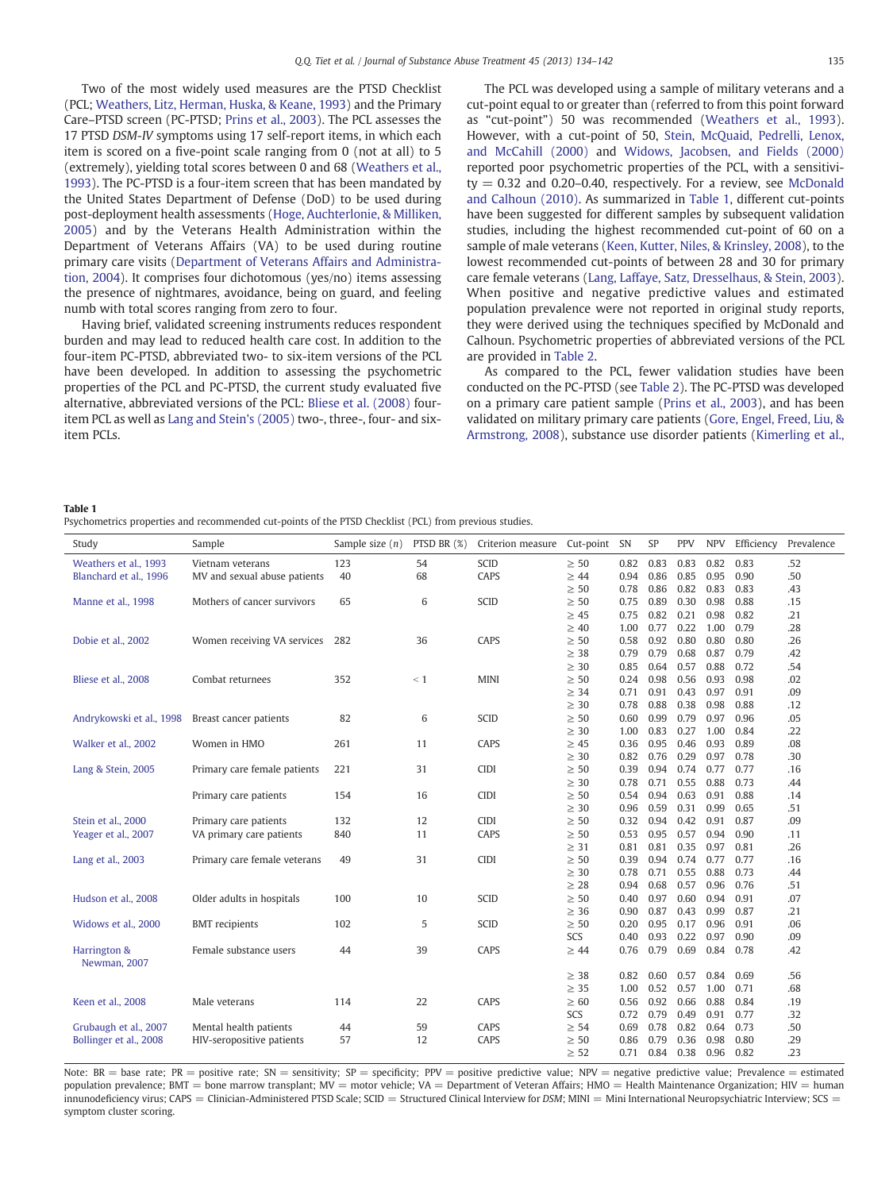Two of the most widely used measures are the PTSD Checklist (PCL; [Weathers, Litz, Herman, Huska, & Keane, 1993](#page--1-0)) and the Primary Care–PTSD screen (PC-PTSD; [Prins et al., 2003\)](#page--1-0). The PCL assesses the 17 PTSD DSM-IV symptoms using 17 self-report items, in which each item is scored on a five-point scale ranging from 0 (not at all) to 5 (extremely), yielding total scores between 0 and 68 ([Weathers et al.,](#page--1-0) [1993\)](#page--1-0). The PC-PTSD is a four-item screen that has been mandated by the United States Department of Defense (DoD) to be used during post-deployment health assessments ([Hoge, Auchterlonie, & Milliken,](#page--1-0) [2005](#page--1-0)) and by the Veterans Health Administration within the Department of Veterans Affairs (VA) to be used during routine primary care visits [\(Department of Veterans Affairs and Administra](#page--1-0)[tion, 2004\)](#page--1-0). It comprises four dichotomous (yes/no) items assessing the presence of nightmares, avoidance, being on guard, and feeling numb with total scores ranging from zero to four.

Having brief, validated screening instruments reduces respondent burden and may lead to reduced health care cost. In addition to the four-item PC-PTSD, abbreviated two- to six-item versions of the PCL have been developed. In addition to assessing the psychometric properties of the PCL and PC-PTSD, the current study evaluated five alternative, abbreviated versions of the PCL: [Bliese et al. \(2008\)](#page--1-0) fouritem PCL as well as [Lang and Stein's \(2005\)](#page--1-0) two-, three-, four- and sixitem PCLs.

The PCL was developed using a sample of military veterans and a cut-point equal to or greater than (referred to from this point forward as "cut-point") 50 was recommended [\(Weathers et al., 1993](#page--1-0)). However, with a cut-point of 50, [Stein, McQuaid, Pedrelli, Lenox,](#page--1-0) [and McCahill \(2000\)](#page--1-0) and [Widows, Jacobsen, and Fields \(2000\)](#page--1-0) reported poor psychometric properties of the PCL, with a sensitivi $ty = 0.32$  and 0.20-0.40, respectively. For a review, see [McDonald](#page--1-0) [and Calhoun \(2010\).](#page--1-0) As summarized in Table 1, different cut-points have been suggested for different samples by subsequent validation studies, including the highest recommended cut-point of 60 on a sample of male veterans ([Keen, Kutter, Niles, & Krinsley, 2008](#page--1-0)), to the lowest recommended cut-points of between 28 and 30 for primary care female veterans [\(Lang, Laffaye, Satz, Dresselhaus, & Stein, 2003](#page--1-0)). When positive and negative predictive values and estimated population prevalence were not reported in original study reports, they were derived using the techniques specified by McDonald and Calhoun. Psychometric properties of abbreviated versions of the PCL are provided in [Table 2](#page--1-0).

As compared to the PCL, fewer validation studies have been conducted on the PC-PTSD (see [Table 2\)](#page--1-0). The PC-PTSD was developed on a primary care patient sample [\(Prins et al., 2003\)](#page--1-0), and has been validated on military primary care patients ([Gore, Engel, Freed, Liu, &](#page--1-0) [Armstrong, 2008](#page--1-0)), substance use disorder patients [\(Kimerling et al.,](#page--1-0)

Table 1

Psychometrics properties and recommended cut-points of the PTSD Checklist (PCL) from previous studies.

| Study                        | Sample                       | Sample size $(n)$ | PTSD BR (%) | Criterion measure | Cut-point | <b>SN</b> | SP   | PPV  | <b>NPV</b> | Efficiency | Prevalence |
|------------------------------|------------------------------|-------------------|-------------|-------------------|-----------|-----------|------|------|------------|------------|------------|
| Weathers et al., 1993        | Vietnam veterans             | 123               | 54          | <b>SCID</b>       | $\geq 50$ | 0.82      | 0.83 | 0.83 | 0.82       | 0.83       | .52        |
| Blanchard et al., 1996       | MV and sexual abuse patients | 40                | 68          | CAPS              | $\geq 44$ | 0.94      | 0.86 | 0.85 | 0.95       | 0.90       | .50        |
|                              |                              |                   |             |                   | $\geq 50$ | 0.78      | 0.86 | 0.82 | 0.83       | 0.83       | .43        |
| Manne et al., 1998           | Mothers of cancer survivors  | 65                | 6           | <b>SCID</b>       | $\geq 50$ | 0.75      | 0.89 | 0.30 | 0.98       | 0.88       | .15        |
|                              |                              |                   |             |                   | $\geq 45$ | 0.75      | 0.82 | 0.21 | 0.98       | 0.82       | .21        |
|                              |                              |                   |             |                   | $\geq 40$ | 1.00      | 0.77 | 0.22 | 1.00       | 0.79       | .28        |
| Dobie et al., 2002           | Women receiving VA services  | 282               | 36          | CAPS              | $\geq 50$ | 0.58      | 0.92 | 0.80 | 0.80       | 0.80       | .26        |
|                              |                              |                   |             |                   | $\geq 38$ | 0.79      | 0.79 | 0.68 | 0.87       | 0.79       | .42        |
|                              |                              |                   |             |                   | $\geq 30$ | 0.85      | 0.64 | 0.57 | 0.88       | 0.72       | .54        |
| Bliese et al., 2008          | Combat returnees             | 352               | $\leq 1$    | <b>MINI</b>       | $\geq 50$ | 0.24      | 0.98 | 0.56 | 0.93       | 0.98       | .02        |
|                              |                              |                   |             |                   | $\geq$ 34 | 0.71      | 0.91 | 0.43 | 0.97       | 0.91       | .09        |
|                              |                              |                   |             |                   | $\geq 30$ | 0.78      | 0.88 | 0.38 | 0.98       | 0.88       | .12        |
| Andrykowski et al., 1998     | Breast cancer patients       | 82                | 6           | <b>SCID</b>       | $\geq 50$ | 0.60      | 0.99 | 0.79 | 0.97       | 0.96       | .05        |
|                              |                              |                   |             |                   | $\geq 30$ | 1.00      | 0.83 | 0.27 | 1.00       | 0.84       | .22        |
| Walker et al., 2002          | Women in HMO                 | 261               | 11          | CAPS              | $\geq 45$ | 0.36      | 0.95 | 0.46 | 0.93       | 0.89       | .08        |
|                              |                              |                   |             |                   | $\geq 30$ | 0.82      | 0.76 | 0.29 | 0.97       | 0.78       | .30        |
| Lang & Stein, 2005           | Primary care female patients | 221               | 31          | <b>CIDI</b>       | $\geq 50$ | 0.39      | 0.94 | 0.74 | 0.77       | 0.77       | .16        |
|                              |                              |                   |             |                   | $\geq 30$ | 0.78      | 0.71 | 0.55 | 0.88       | 0.73       | .44        |
|                              | Primary care patients        | 154               | 16          | <b>CIDI</b>       | $\geq 50$ | 0.54      | 0.94 | 0.63 | 0.91       | 0.88       | .14        |
|                              |                              |                   |             |                   | $\geq 30$ | 0.96      | 0.59 | 0.31 | 0.99       | 0.65       | .51        |
| Stein et al., 2000           | Primary care patients        | 132               | 12          | <b>CIDI</b>       | $\geq 50$ | 0.32      | 0.94 | 0.42 | 0.91       | 0.87       | .09        |
| Yeager et al., 2007          | VA primary care patients     | 840               | 11          | CAPS              | $\geq 50$ | 0.53      | 0.95 | 0.57 | 0.94       | 0.90       | .11        |
|                              |                              |                   |             |                   | $\geq$ 31 | 0.81      | 0.81 | 0.35 | 0.97       | 0.81       | .26        |
| Lang et al., 2003            | Primary care female veterans | 49                | 31          | <b>CIDI</b>       | $\geq 50$ | 0.39      | 0.94 | 0.74 | 0.77       | 0.77       | .16        |
|                              |                              |                   |             |                   | $\geq 30$ | 0.78      | 0.71 | 0.55 | 0.88       | 0.73       | .44        |
|                              |                              |                   |             |                   | $\geq 28$ | 0.94      | 0.68 | 0.57 | 0.96       | 0.76       | .51        |
| Hudson et al., 2008          | Older adults in hospitals    | 100               | 10          | <b>SCID</b>       | $\geq 50$ | 0.40      | 0.97 | 0.60 | 0.94       | 0.91       | .07        |
|                              |                              |                   |             |                   | $\geq 36$ | 0.90      | 0.87 | 0.43 | 0.99       | 0.87       | .21        |
| Widows et al., 2000          | <b>BMT</b> recipients        | 102               | 5           | <b>SCID</b>       | $\geq 50$ | 0.20      | 0.95 | 0.17 | 0.96       | 0.91       | .06        |
|                              |                              |                   |             |                   | SCS       | 0.40      | 0.93 | 0.22 | 0.97       | 0.90       | .09        |
| Harrington &<br>Newman, 2007 | Female substance users       | 44                | 39          | CAPS              | $\geq 44$ | 0.76      | 0.79 | 0.69 | 0.84       | 0.78       | .42        |
|                              |                              |                   |             |                   | $\geq$ 38 | 0.82      | 0.60 | 0.57 | 0.84       | 0.69       | .56        |
|                              |                              |                   |             |                   | $\geq 35$ | 1.00      | 0.52 | 0.57 | 1.00       | 0.71       | .68        |
| Keen et al., 2008            | Male veterans                | 114               | 22          | CAPS              | $\geq 60$ | 0.56      | 0.92 | 0.66 | 0.88       | 0.84       | .19        |
|                              |                              |                   |             |                   | SCS       | 0.72      | 0.79 | 0.49 | 0.91       | 0.77       | .32        |
| Grubaugh et al., 2007        | Mental health patients       | 44                | 59          | CAPS              | $\geq 54$ | 0.69      | 0.78 | 0.82 | 0.64       | 0.73       | .50        |
| Bollinger et al., 2008       | HIV-seropositive patients    | 57                | 12          | CAPS              | $\geq 50$ | 0.86      | 0.79 | 0.36 | 0.98       | 0.80       | .29        |
|                              |                              |                   |             |                   | $\geq 52$ | 0.71      | 0.84 | 0.38 | 0.96       | 0.82       | .23        |

Note: BR = base rate; PR = positive rate; SN = sensitivity; SP = specificity; PPV = positive predictive value; NPV = negative predictive value; Prevalence = estimated population prevalence; BMT = bone marrow transplant;  $MV =$  motor vehicle;  $VA =$  Department of Veteran Affairs; HMO = Health Maintenance Organization; HIV = human innunodeficiency virus; CAPS = Clinician-Administered PTSD Scale; SCID = Structured Clinical Interview for DSM; MINI = Mini International Neuropsychiatric Interview; SCS = symptom cluster scoring.